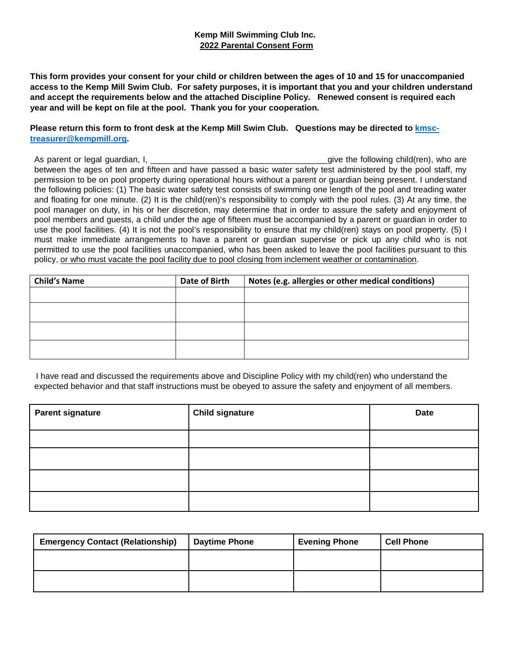## **Kemp Mill Swimming Club Inc. 2022 Parental Consent Form**

**This form provides your consent for your child or children between the ages of 10 and 15 for unaccompanied access to the Kemp Mill Swim Club. For safety purposes, it is important that you and your children understand and accept the requirements below and the attached Discipline Policy. Renewed consent is required each year and will be kept on file at the pool. Thank you for your cooperation.**

**Please return this form to front desk at the Kemp Mill Swim Club. Questions may be directed to [kmsc](mailto:kmsc-treasurer@kempmill.org)[treasurer@kempmill.org.](mailto:kmsc-treasurer@kempmill.org)**

As parent or legal guardian, I, the same of the state of the following child(ren), who are between the ages of ten and fifteen and have passed a basic water safety test administered by the pool staff, my permission to be on pool property during operational hours without a parent or guardian being present. I understand the following policies: (1) The basic water safety test consists of swimming one length of the pool and treading water and floating for one minute. (2) It is the child(ren)'s responsibility to comply with the pool rules. (3) At any time, the pool manager on duty, in his or her discretion, may determine that in order to assure the safety and enjoyment of pool members and guests, a child under the age of fifteen must be accompanied by a parent or guardian in order to use the pool facilities. (4) It is not the pool's responsibility to ensure that my child(ren) stays on pool property. (5) I must make immediate arrangements to have a parent or guardian supervise or pick up any child who is not permitted to use the pool facilities unaccompanied, who has been asked to leave the pool facilities pursuant to this policy, or who must vacate the pool facility due to pool closing from inclement weather or contamination.

| <b>Child's Name</b> | Date of Birth | Notes (e.g. allergies or other medical conditions) |  |  |
|---------------------|---------------|----------------------------------------------------|--|--|
|                     |               |                                                    |  |  |
|                     |               |                                                    |  |  |
|                     |               |                                                    |  |  |
|                     |               |                                                    |  |  |

I have read and discussed the requirements above and Discipline Policy with my child(ren) who understand the expected behavior and that staff instructions must be obeyed to assure the safety and enjoyment of all members.

| <b>Parent signature</b> | <b>Child signature</b> | <b>Date</b> |
|-------------------------|------------------------|-------------|
|                         |                        |             |
|                         |                        |             |
|                         |                        |             |
|                         |                        |             |

| <b>Emergency Contact (Relationship)</b> | <b>Daytime Phone</b> | <b>Evening Phone</b> | <b>Cell Phone</b> |
|-----------------------------------------|----------------------|----------------------|-------------------|
|                                         |                      |                      |                   |
|                                         |                      |                      |                   |